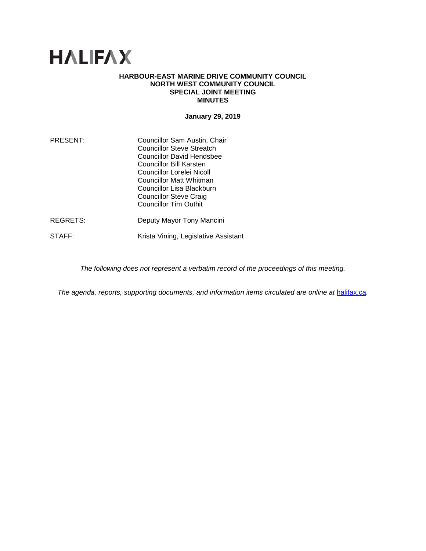# **HALIFAX**

#### **HARBOUR-EAST MARINE DRIVE COMMUNITY COUNCIL NORTH WEST COMMUNITY COUNCIL SPECIAL JOINT MEETING MINUTES**

**January 29, 2019**

| PRESENT: | Councillor Sam Austin, Chair<br><b>Councillor Steve Streatch</b><br>Councillor David Hendsbee<br>Councillor Bill Karsten<br>Councillor Lorelei Nicoll<br>Councillor Matt Whitman<br>Councillor Lisa Blackburn<br><b>Councillor Steve Craig</b><br><b>Councillor Tim Outhit</b> |
|----------|--------------------------------------------------------------------------------------------------------------------------------------------------------------------------------------------------------------------------------------------------------------------------------|
| REGRETS: | Deputy Mayor Tony Mancini                                                                                                                                                                                                                                                      |
| STAFF:   | Krista Vining, Legislative Assistant                                                                                                                                                                                                                                           |

*The following does not represent a verbatim record of the proceedings of this meeting.*

*The agenda, reports, supporting documents, and information items circulated are online at [halifax.ca](http://www.halifax.ca/).*